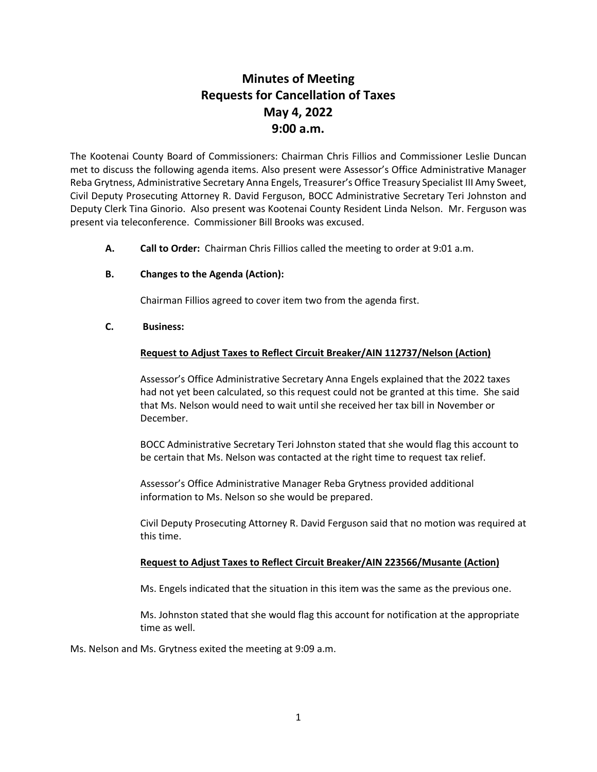# **Minutes of Meeting Requests for Cancellation of Taxes May 4, 2022 9:00 a.m.**

The Kootenai County Board of Commissioners: Chairman Chris Fillios and Commissioner Leslie Duncan met to discuss the following agenda items. Also present were Assessor's Office Administrative Manager Reba Grytness, Administrative Secretary Anna Engels, Treasurer's Office Treasury Specialist III Amy Sweet, Civil Deputy Prosecuting Attorney R. David Ferguson, BOCC Administrative Secretary Teri Johnston and Deputy Clerk Tina Ginorio. Also present was Kootenai County Resident Linda Nelson. Mr. Ferguson was present via teleconference. Commissioner Bill Brooks was excused.

**A. Call to Order:** Chairman Chris Fillios called the meeting to order at 9:01 a.m.

## **B. Changes to the Agenda (Action):**

Chairman Fillios agreed to cover item two from the agenda first.

## **C. Business:**

## **Request to Adjust Taxes to Reflect Circuit Breaker/AIN 112737/Nelson (Action)**

Assessor's Office Administrative Secretary Anna Engels explained that the 2022 taxes had not yet been calculated, so this request could not be granted at this time. She said that Ms. Nelson would need to wait until she received her tax bill in November or December.

BOCC Administrative Secretary Teri Johnston stated that she would flag this account to be certain that Ms. Nelson was contacted at the right time to request tax relief.

Assessor's Office Administrative Manager Reba Grytness provided additional information to Ms. Nelson so she would be prepared.

Civil Deputy Prosecuting Attorney R. David Ferguson said that no motion was required at this time.

#### **Request to Adjust Taxes to Reflect Circuit Breaker/AIN 223566/Musante (Action)**

Ms. Engels indicated that the situation in this item was the same as the previous one.

Ms. Johnston stated that she would flag this account for notification at the appropriate time as well.

Ms. Nelson and Ms. Grytness exited the meeting at 9:09 a.m.